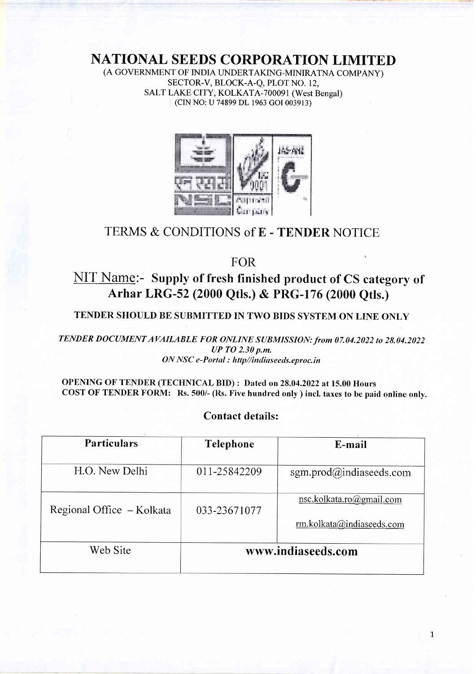NATIONAL SEEDS CORPORATION LIMITED

(A GOVERNMENT OF INDIA UNDERTAKING-MINIRATNA COMPANY) SECTOR-V, BLOCK-A-Q, PLOT NO. 12, SALT LAKE CITY, KOLKATA-700091 (West Bengal) (CIN NO: U 74899 DL 1963 cOI 003913)



## TERMS & CONDITIONS of E - TENDER NOTICE

FOR

# NIT Name:- Supply of fresh finished product of CS category of Arhar LRG-52 (2000 Qtls.) & PRG-176 (2000 Otls.)

TENDER SHOULD BE SUBMITTED IN TWO BIDS SYSTEM ON LINE ONLY

TENDER DOCUMENT AVAILABLE FOR ONLINE SUBMISSION: from 07.04.2022 to 28.04.2022  $UP$  TO 2.30 p.m. ON NSC e-Portal : http//indiaseeds.eproc.in

#### OPENING OF TENDER (TECHNICAL BID) : Dated on 28.04.2022 at 15.00 Hours COST OF TENDER FORM: Rs. 500/- (Rs. Five hundred only ) incl. taxes to be paid online only.

| <b>Particulars</b>        | <b>Telephone</b>   | E-mail                                                                       |  |
|---------------------------|--------------------|------------------------------------------------------------------------------|--|
| H.O. New Delhi            | 011-25842209       | sgm.prod@indiaseeds.com                                                      |  |
| Regional Office - Kolkata | 033-23671077       | nsc.kolkata.ro@gmail.com<br>$\text{rm.kolkata}(\hat{\omega})$ indiaseeds.com |  |
| Web Site                  | www.indiaseeds.com |                                                                              |  |

### Contact details: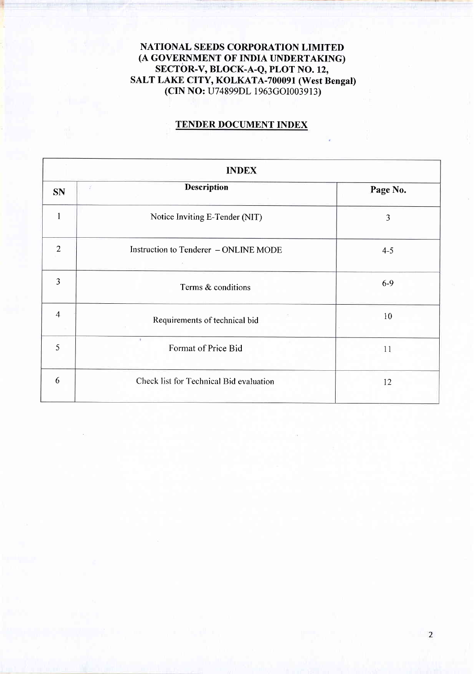NATIONAL SEEDS CORPORATION LIMITED (A GOVERNMENT OF INDIA UNDERTAKING) SECTOR-V, BLOCK-A-Q, PLOT NO. 12, SALT LAKE CITY, KOLKATA-700091 (West Bengal) (CIN NO: U74899DL 1963GOI003913)

#### TENDER DOCUMENT INDEX

|                | <b>INDEX</b>                            |          |  |  |  |  |
|----------------|-----------------------------------------|----------|--|--|--|--|
| <b>SN</b>      | <b>Description</b><br>x                 | Page No. |  |  |  |  |
|                | Notice Inviting E-Tender (NIT)          | 3        |  |  |  |  |
| $\overline{2}$ | Instruction to Tenderer - ONLINE MODE   | $4 - 5$  |  |  |  |  |
| 3              | Terms & conditions                      | $6-9$    |  |  |  |  |
| $\overline{4}$ | Requirements of technical bid           | 10       |  |  |  |  |
| 5              | ٠<br>Format of Price Bid                | 11       |  |  |  |  |
| 6              | Check list for Technical Bid evaluation | 12       |  |  |  |  |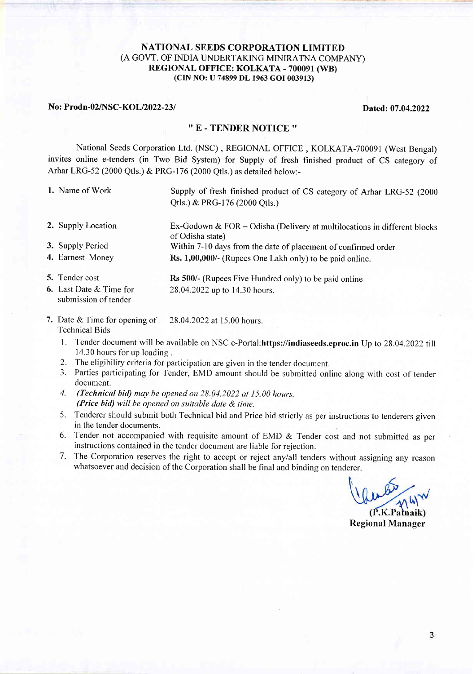#### NATIONAL SEEDS CORPORATION LIMITED (A GOVT. OF INDIA LINDERTAKING MINIRATNA COMPANY) REGIONAL OFFICE: KOLKATA - 700091 (WB) (CIN NO: U 74899 DL 1963 cOI003913)

#### No: Prodn-02/NSC-KOL/2022-23/<br>
Dated: 07.04.2022

4. Earnest Money

#### '' E . TENDER NOTICE ''

National Seeds Corporation Ltd. (NSC) , REGIONAL OFFICE , KOLKATA-700091 (West Bengal) invites online e-tenders (in Two Bid System) for Supply of fresh finished product of CS category of Arhar LRG-52 (2000 Qtls.) & PRG-176 (2000 Qtls.) as detailed below:-

- 1. Name of Work Supply of fresh finished product of CS category of Arhar LRG-52 (2000) Qtls.) & PRG-176 (2000 Qtls.)
- 2. Supply Location Ex-Godown & FOR - Odisha (Delivery at multilocations in different blocks of Odisha state) Within 7-10 days from the date of placement of confirmed order **3.** Supply Period
	- Rs. 1,00,000/- (Rupees One Lakh only) to be paid online.
- Rs 500/- (Rupees Five Hundred only) to be paid online 28.04.2022 up to 14.30 hours. 5. Tender cost **6.** Last Date & Time for submission of tender
- 7. Date & Time for opening of 28.04.2022 at 15.00 hours. Technical Bids
	- l. Tender document will be available on NSC e-Portal:https://indiaseeds.eproc.in Up to 28.04 .2022 till 14.30 hours for up loading .
	- 2. The eligibility criteria for participation are given in the tender document.
	- 3. Parties participating for Tender, EMD amount should be submitted online along with cost of tender document.
	- 4. (Technical bid) may be opened on  $28.04.2022$  at 15.00 hours. (Price bid) will be opened on suitable date  $\&$  time.
	- 5. Tenderer should submit both Technical bid and Price bid strictly as per instructions to tenderers given in the tender documents.
	- 6. Tender not accompanied with requisite amount of EMD & Tender cost and not submitted as per instructions contained in the tender document are liable for rejection.
	- 7. The Corporation reserves the right to accept or reject anylall tenders without assigning any reason whatsoever and decision of the Corporation shall be final and binding on tenderer.

Regional Manager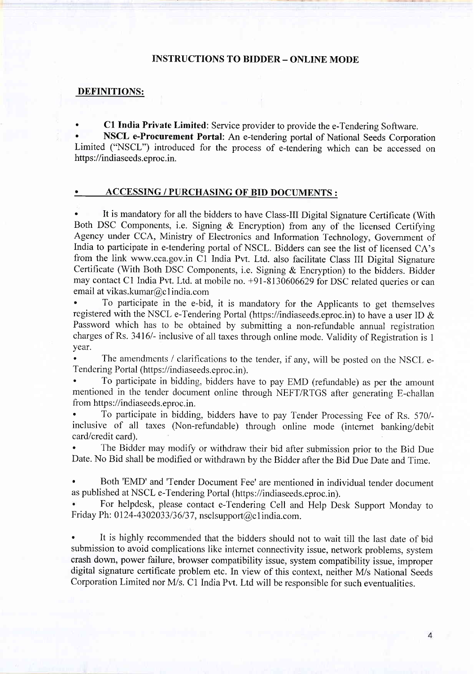#### INSTRUCTIONS TO BIDDER \_ ONLINE MODE

#### DEFINITIONS:

C1 India Private Limited: Service provider to provide the e-Tendering Software.

NSCL e-Procurement Portal: An e-tendering portal of National Seeds Corporation Limited ("NSCL") introduced for the process of e-tendering which can be accessed on https://indiaseeds.eproc.in.

#### . ACCESSING / PURCHASING OF BID DOCUMENTS :

It is mandatory for all the bidders to have Class-III Digital Signature Certificate (With Both DSC Components, i.e. Signing & Encryption) from any of the licensed Certifying Agency under CCA, Ministry of Electronics and Information Technology, Govemment of India to participate in e-tendering portal of NSCL. Bidders can see the list of licensed CA's from the link www.cca.gov.in Cl India Pvt. Ltd. also facilitate Class III Digital Signature Certificate (With Both DSC Components, i.e. Signing & Encryption) to the bidders. Bidder may contact Cl India Pvt. Ltd. at mobile no. +91-8130606629 for DSC related queries or can email at vikas.kumar@c 1 india.com

' To participate in the e-bid, it is mandatory for the Applicants to get themselves registered with the NSCL e-Tendering Portal (https://indiaseeds.eproc.in) to have a user ID & Password which has to be obtained by submitting a non-refundable annual registration charges of Rs. 3416/- inclusive of all taxes through online mode. Validity of Registration is 1 year.

The amendments / clarifications to the tender, if any, will be posted on the NSCL e-Tendering Portal (https://indiaseeds.eproc.in).

' To participate in bidding, bidders have to pay EMD (refundable) as per the amount mentioned in the tender document online through NEFT/RTGS after generating E-challan from https://indiaseeds.eproc.in.

' To participate in bidding, bidders have to pay Tender Processing Fee of Rs. 570/ inclusive of all taxes (Non-refundable) through online mode (internet banking/debit card/credit card).

The Bidder may modify or withdraw their bid after submission prior to the Bid Due Date. No Bid shall be modified or withdrawn by the Bidder after the Bid Due Date and Time.

Both 'EMD' and 'Tender Document Fee' are mentioned in individual tender document as published at NSCL e-Tendering Portal (https://indiaseeds.eproc.in).

For helpdesk, please contact e-Tendering Cell and Help Desk Support Monday to Friday Ph: 0124-4302033/36/37, nsclsupport@clindia.com.

It is highly recommended that the bidders should not to wait till the last date of bid submission to avoid complications like internet connectivity issue, network problems, system crash down, power failure, browser compatibility issue, system compatibility issue, improper digital signature certificate problem etc. In view of this context, neither M/s National Seeds Corporation Limited nor M/s. Cl India Pvt. Ltd will be responsible for such eventualities.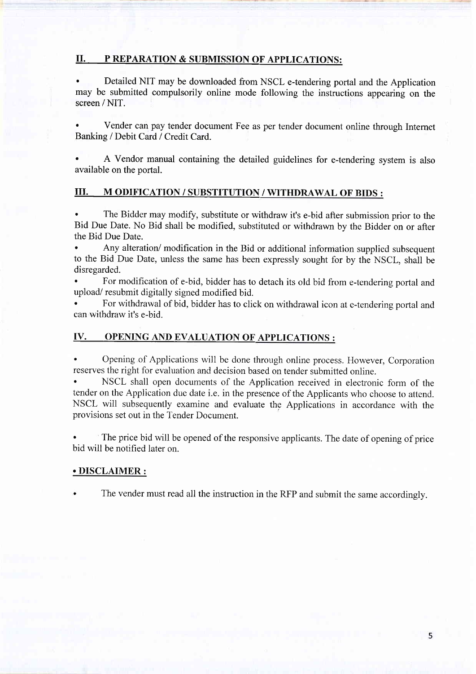#### II. P REPARATION & SUBMISSION OF APPLICATIONS:

Detailed NIT may be downloaded from NSCL e-tendering portal and the Application may be submitted compulsorily online mode following the instructions appearing on the screen / NIT.

. Vender can pay tender document Fee as per tender document online through Internet Banking / Debit Card / Credit Card.

A Vendor manual containing the detailed guidelines for e-tendering system is also available on the portal.

#### III. M ODIFICATION / SUBSTITUTION / WITHDRAWAL OF BIDS :

. The Bidder may modify, substitute or withdraw it's e-bid after submission prior to the Bid Due Date. No Bid shall be modifred, substituted or withdrawn by the Bidder on or after the Bid Due Date.

. Any alteration/ modification in the Bid or additional information supplied subsequent to the Bid Due Date, unless the same has been expressly sought for by the NSCL, shall be disregarded.

' For modification of e-bid, bidder has to detach its old bid from e-tendering portal and upload/ resubmit digitally signed modified bid.

. For withdrawal of bid, bidder has to click on withdrawal icon at e-tendering portal and can withdraw it's e-bid.

#### IV. OPENING AND EVALUATION OF APPLICATIONS :

' Opening of Applications will be done through online process. However, Corporation reserves the right for evaluation and decision based on tender submitted online.

. NSCL shall open documents of the Application received in electronic form of the tender on the Application due date i.e. in the presence of the Applicants who choose to attend. NSCL will subsequently examine and evaluate the Applications in accordance with the provisions set out in the Tender Document.

The price bid will be opened of the responsive applicants. The date of opening of price bid will be notified later on.

#### . DISCLAIMER :

The vender must read all the instruction in the RFP and submit the same accordingly.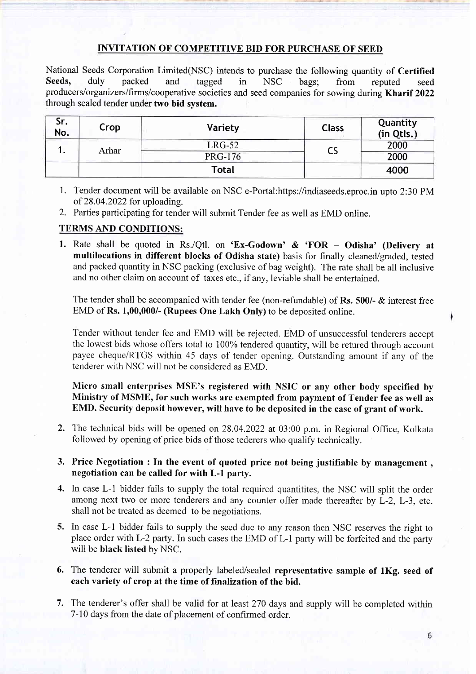### INVITATION OF COMPETITIVE BID FOR PURCHASE OF SEED

National Seeds Corporation Limited(NSC) intends to purchase the following quantity of Certified<br>Seeds, duly packed and tagged in NSC bags: from reputed seed Seeds, duly packed and tagged in NSC bags; from reputed seed producers/organizers/firms/cooperative societies and seed companies for sowing during Kharif 2022 through sealed tender under two bid system.

| Sr.<br>No. | Crop  | Variety        | <b>Class</b> | Quantity<br>(in Qtls.) |
|------------|-------|----------------|--------------|------------------------|
| . .        | Arhar | $LRG-52$       |              | 2000                   |
|            |       | <b>PRG-176</b> |              | 2000                   |
|            |       | Total          |              | 4000                   |

- 1. Tender document will be available on NSC e-Portal:https://indiaseeds.eproc.in upto 2:30 PM of 28.04.2022 for uploading.
- 2. Parties participating for tender will submit Tender fee as well as EMD online.

### TERMS AND CONDITIONS:

1. Rate shall be quoted in Rs./Qtl. on 'Ex-Godown' & 'FOR - Odisha' (Delivery at multilocations in different blocks of Odisha state) basis for finally cleaned/graded, tested and packed quantity in NSC packing (exclusive of bag weight). The rate shall be all inclusive and no other claim on account of taxes etc., if any, leviable shall be entertained.

The tender shall be accompanied with tender fee (non-refundable) of Rs. 500/- & interest free EMD of Rs. 1,00,000/- (Rupees One Lakh Only) to be deposited online.

Tender without tender fee and EMD will be rejected. EMD of unsuccessful tenderers accept the lowest bids whose offers total to 100% tendered quantity, will be retured through account payee cheque/RTGS within 45 days of tender opening. Outstanding amount if any of the tenderer with NSC will not be considered as EMD.

Micro small enterprises MSE's registered with NSIC or any other body specified by Ministry of MSME, for such works are exempted from payment of Tender fee as well as EMD. Security deposit however, will have to be deposited in the case of grant of work.

- 2. The technical bids will be opened on 28.04.2022 at 03:00 p.m. in Regional Office, Kolkata followed by opening of price bids of those tederers who qualify technically.
- 3. Price Negotiation : In the event of quoted price not being justifiable by management , negotiation can be called for with L-l parfy.
- 4. In case L-l bidder fails to supply the total required quantitites, the NSC will split the order among next two or more tenderers and any counter offer made thereafter by L-2, L-3, etc. shall not be treated as deemed to be negotiations.
- 5. In case L-1 bidder fails to supply the seed due to any reason then NSC reserves the right to place order with L-2 party. In such cases the EMD of L-1 party will be forfeited and the party will be black listed by NSC.
- 6. The tenderer will submit a properly labeled/sealed representative sample of 1Kg. seed of each variety of crop at the time of finalization of the bid.
- 7. The tenderer's offer shall be valid for at least 270 days and supply will be completed within 7-10 days from the date of placement of confirmed order.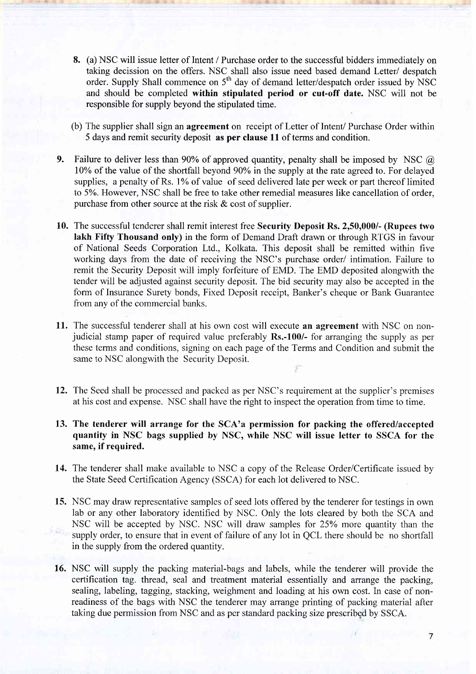- 8. (a) NSC will issue letter of Intent / Purchase order to the successful bidders immediately on taking decission on the offers. NSC shall also issue need based demand Letter/ despatch order. Supply Shall commence on 5<sup>th</sup> day of demand letter/despatch order issued by NSC and should be completed within stipulated period or cut-off date. NSC will not be responsible for supply beyond the stipulated time.
- (b) The supplier shall sign an agreement on receipt of Letter of Intent/ Purchase Order within 5 days and remit security deposit as per clause 1l of terms and condition.
- 9. Failure to deliver less than 90% of approved quantity, penalty shall be imposed by NSC  $\omega$ 10% of the value of the shortfall beyond 90% in the supply at the rate agreed to. For delayed supplies, a penalty of Rs. 1% of value of seed delivered late per week or part thereof limited to 5Yo. However, NSC shall be free to take other remedial measures like cancellation of order, purchase from other source at the risk  $\&$  cost of supplier.
- 10. The successful tenderer shall remit interest free Security Deposit Rs. 2,50,000/- (Rupees two lakh Fiffy Thousand only) in the form of Demand Draft drawn or through RTGS in favour of National Seeds Corporation Ltd., Kolkata. This deposit shall be remitted within five working days from the date of receiving the NSC's purchase order/ intimation. Failure to remit the Security Deposit will imply forfeiture of EMD. The EMD deposited alongwith the tender will be adjusted against security deposit. The bid security may also be accepted in the form of Insurance Surety bonds, Fixed Deposit receipt, Banker's cheque or Bank Guarantee from any of the commercial banks.
- 11. The successful tenderer shall at his own cost will execute an agreement with NSC on nonjudicial stamp paper of required value preferably Rs.-100/- for arranging the supply as per these terms and conditions, signing on each page of the Terms and Condition and submit the same to NSC alongwith the Security Deposit.
- 12. The Seed shall be processed and packed as per NSC's requirement at the supplier's premises at his cost and expense. NSC shall have the right to inspect the operation from time to time.
- 13. The tenderer will arrange for the SCA'a permission for packing the offered/accepted quantity in NSC bags supplied by NSC, while NSC will issue letter to SSCA for the same, if required.
- 14. The tenderer shall make available to NSC a copy of the Release Order/Certificate issued by the State Seed Certification Agency (SSCA) for each lot delivered to NSC.
- 15. NSC may draw representative samples of seed lots offered by the tenderer for testings in own lab or any other laboratory identified by NSC. Only the lots cleared by both the SCA and NSC will be accepted by NSC. NSC will draw samples for 25% more quantity than the supply order, to ensure that in event of failure of any lot in QCL there should be no shortfall in the supply from the ordered quantity.
- 16. NSC will supply the packing material-bags and labels, while the tenderer will provide the certification tag. thread, seal and treatment material essentially and arrange the packing, sealing, labeling, tagging, stacking, weighment and loading at his own cost. In case of nonreadiness of the bags with NSC the tenderer may arrange printing of packing material after taking due permission from NSC and as per standard packing size prescribgd by SSCA.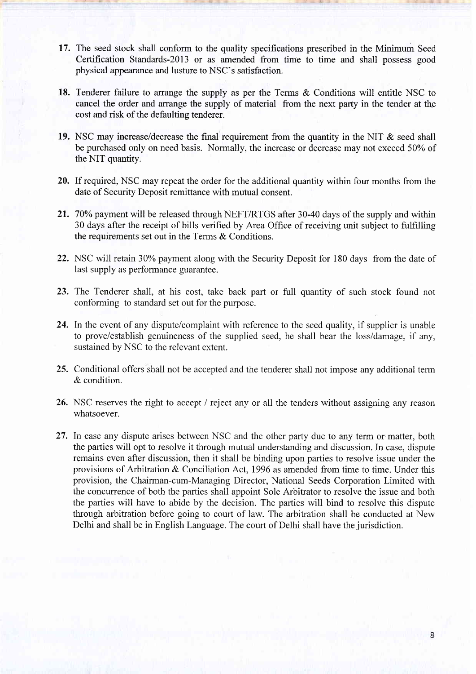- 17. The seed stock shall conform to the quality specifications prescribed in the Minimum Seed Certification Standards-20l3 or as amended from time to time and shall possess good physical appearance and lusture to NSC's satisfaction.
- 18. Tenderer failure to arrange the supply as per the Terms & Conditions will entitle NSC to cancel the order and arrange the supply of material from the next party in the tender at the cost and risk of the defaulting tenderer.
- 19. NSC may increase/decrease the final requirement from the quantity in the NIT & seed shall be purchased only on need basis. Normally, the increase or decrease may not exceed 50% of the NIT quantity.
- 20. If required, NSC may repeat the order for the additional quantity within four months from the date of Security Deposit remittance with mutual consent.
- 21. 70% payment will be released through NEFT/RTGS after 30-40 days of the supply and within 30 days after the receipt of bills verified by Area Office of receiving unit subject to fulfilling the requirements set out in the Terms & Conditions.
- 22. NSC will retain 30% payment along with the Security Deposit for 180 days from the date of last supply as performance guarantee.
- 23. The Tenderer shall, at his cost, take back part or full quantity of such stock found not conforming to standard set out for the purpose.
- 24. In the event of any dispute/complaint with reference to the seed quality, if supplier is unable to prove/establish genuineness of the supplied seed, he shall bear the loss/damage, if any, sustained by NSC to the relevant extent.
- 25. Conditional offers shall not be accepted and the tenderer shall not impose any additional term & condition.
- 26. NSC reserves the right to accept / reject any or all the tenders without assigning any reason whatsoever.
- 27. In case any dispute arises between NSC and the other party due to any term or matter, both the parties will opt to resolve it through mutual understanding and discussion. In case, dispute remains even after discussion, then it shall be bindihg upon parties to resolve issue under the provisions of Arbitration & Conciliation Act, 1996 as amended from time to time. Under this provision, the Chairman-cum-Managing Director, National Seeds Corporation Limited with the concurrence of both the parties shall appoint Sole Arbitrator to resolve the issue and both the parties will have to abide by the decision. The parties will bind to resolve this dispute through arbitration before going to court of law. The arbitration shall be conducted at New Delhi and shall be in English Language. The court of Delhi shall have the jurisdiction.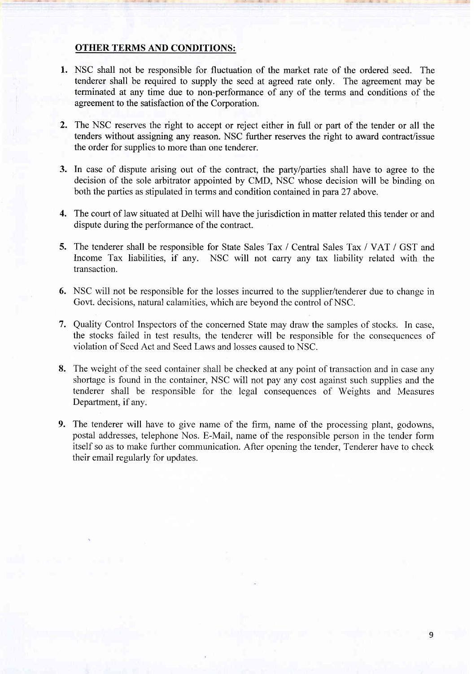#### OTHER TERMS AND CONDITIONS:

- 1. NSC shall not be responsible for fluctuation of the market rate of the ordered seed. The tenderer shall be required to supply the seed at agreed rate only. The agreement may be terminated at any time due to non-perfofinance of any of the terms and conditions of the agreement to the satisfaction of the Corporation.
- The NSC reserves the right to accept or reject either in full or part of the tender or all the tenders without assigning any reason. NSC further reserves the right to award contract/issue the order for supplies to more than one tenderer.  $2.$
- 3. In case of dispute arising out of the contract, the party/parties shall have to agree to the decision of the sole arbitrator appointed by CMD, NSC whose decision will be binding on both the parties as stipulated in terms and condition contained in para 27 above.
- The court of law situated at Delhi will have the jurisdiction in matter related this tender or and 4. dispute during the performance of the contract.
- 5. The tenderer shall be responsible for State Sales Tax / Central Sales Tax / VAT / GST and Income Tax liabilities, if any. NSC will not carry any tax liability related with the transaction.
- 6. NSC will not be responsible for the losses incurred to the supplier/tenderer due to change in Govt. decisions, natural calamities, which are beyond the control of NSC.
- 7. Quality Control Inspectors of the concerned State may draw the samples of stocks. In case, the stocks failed in test results, the tenderer will be responsible for the consequences of violation of Seed Act and Seed Laws and losses caused to NSC.
- The weight of the seed container shall be checked at any point of transaction and in case any 8. shortage is found in the container, NSC will not pay any cost against such supplies and the tenderer shall be responsible for the legal consequences of Weights and Measures Department, if any.
- 9. The tenderer will have to give name of the firm, name of the processing plant, godowns, postal addresses, telephone Nos. E-Mail, name of the responsible person in the tender form itself so as to make further communication. After opening the tender, Tenderer have to check their email regularly for updates.

Q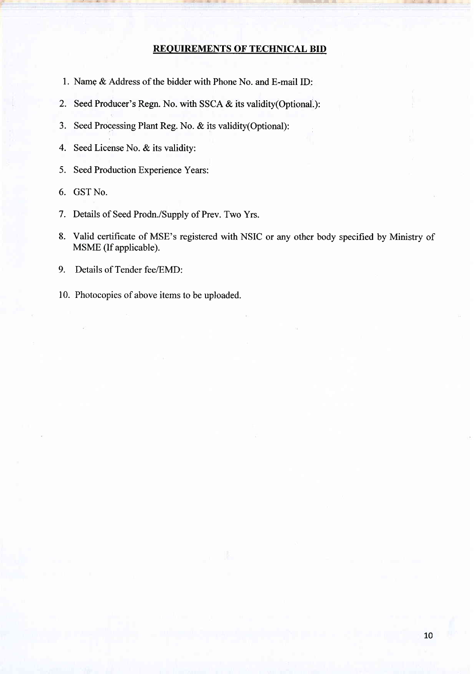#### REOUIREMENTS OF TECHNICAL BID

- 1. Name & Address of the bidder with Phone No. and E-mail ID:
- 2. Seed Producer's Regn. No. with SSCA & its validity(Optional,):
- 3. Seed Processing Plant Reg. No. & its validity(Optional):
- 4. Seed License No. & its validity:
- 5. Seed Production Experience Years:
- 6. GST No.
- 7. Details of Seed Prodn./Supply of Prev. Two Yrs.
- 8. Valid certificate of MSE's registered with NSIC or any other body specified by Ministry of MSME (If applicable).
- 9. Details of Tender fee/EMD:
- 10. Photocopies of above items to be uploaded.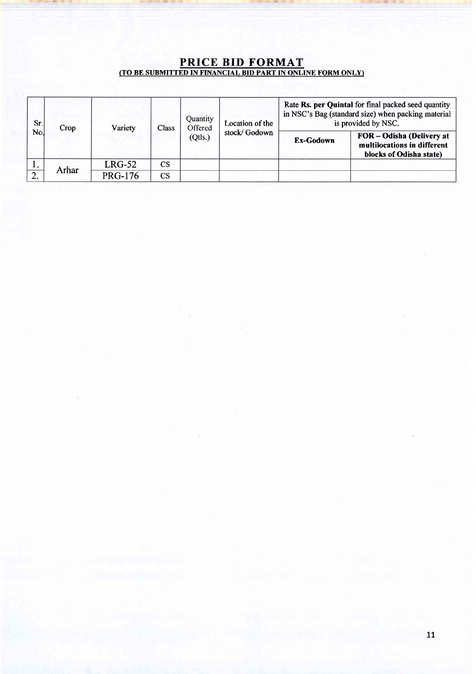#### PRICE BID FORMAT (TO BE SUBMITTED IN FINANCIAL BID PART IN ONLINE FORM ONLY)

| Sr.    | Crop  | Variety        | Class                  | Quantity<br>Offered | Location of the | Rate Rs. per Quintal for final packed seed quantity<br>in NSC's Bag (standard size) when packing material<br>is provided by NSC. |                                                                                     |
|--------|-------|----------------|------------------------|---------------------|-----------------|----------------------------------------------------------------------------------------------------------------------------------|-------------------------------------------------------------------------------------|
| No.    |       |                |                        | (Qtls.)             | stock/Godown    | Ex-Godown                                                                                                                        | FOR - Odisha (Delivery at<br>multilocations in different<br>blocks of Odisha state) |
|        | Arhar | $LRG-52$       | <b>CS</b>              |                     |                 |                                                                                                                                  |                                                                                     |
| $\sim$ |       | <b>PRG-176</b> | $\mathbf{C}\mathbf{S}$ |                     |                 |                                                                                                                                  |                                                                                     |